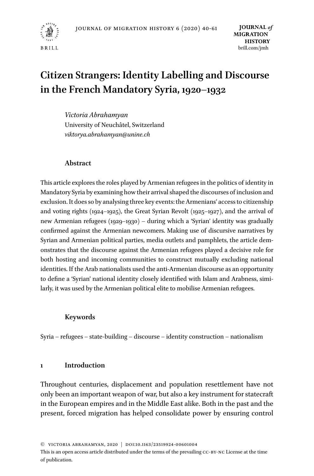

# **Citizen Strangers: Identity Labelling and Discourse in the French Mandatory Syria, 1920–1932**

*Victoria Abrahamyan* University of Neuchâtel, Switzerland *viktorya.abrahamyan@unine.ch*

# **Abstract**

This article explores the roles played by Armenian refugees in the politics of identity in Mandatory Syria by examining how their arrival shaped the discourses of inclusion and exclusion. It does so by analysing three key events: the Armenians' access to citizenship and voting rights (1924–1925), the Great Syrian Revolt (1925–1927), and the arrival of new Armenian refugees (1929–1930) – during which a 'Syrian' identity was gradually confirmed against the Armenian newcomers. Making use of discursive narratives by Syrian and Armenian political parties, media outlets and pamphlets, the article demonstrates that the discourse against the Armenian refugees played a decisive role for both hosting and incoming communities to construct mutually excluding national identities. If the Arab nationalists used the anti-Armenian discourse as an opportunity to define a 'Syrian' national identity closely identified with Islam and Arabness, similarly, it was used by the Armenian political elite to mobilise Armenian refugees.

# **Keywords**

Syria – refugees – state-building – discourse – identity construction – nationalism

# **1 Introduction**

Throughout centuries, displacement and population resettlement have not only been an important weapon of war, but also a key instrument for statecraft in the European empires and in the Middle East alike. Both in the past and the present, forced migration has helped consolidate power by ensuring control

This is an open access article distributed under the terms of the prevailing cc-by-nc License at the time of publication.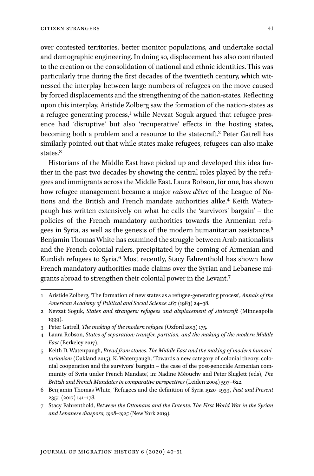over contested territories, better monitor populations, and undertake social and demographic engineering. In doing so, displacement has also contributed to the creation or the consolidation of national and ethnic identities. This was particularly true during the first decades of the twentieth century, which witnessed the interplay between large numbers of refugees on the move caused by forced displacements and the strengthening of the nation-states. Reflecting upon this interplay, Aristide Zolberg saw the formation of the nation-states as a refugee generating process,<sup>1</sup> while Nevzat Soguk argued that refugee presence had 'disruptive' but also 'recuperative' effects in the hosting states, becoming both a problem and a resource to the statecraft[.2](#page-1-1) Peter Gatrell has similarly pointed out that while states make refugees, refugees can also make states<sup>[3](#page-1-2)</sup>

Historians of the Middle East have picked up and developed this idea further in the past two decades by showing the central roles played by the refugees and immigrants across the Middle East. Laura Robson, for one, has shown how refugee management became a major *raison d'être* of the League of Nations and the British and French mandate authorities alike.[4](#page-1-3) Keith Watenpaugh has written extensively on what he calls the 'survivors' bargain' – the policies of the French mandatory authorities towards the Armenian refugees in Syria, as well as the genesis of the modern humanitarian assistance.[5](#page-1-4) Benjamin Thomas White has examined the struggle between Arab nationalists and the French colonial rulers, precipitated by the coming of Armenian and Kurdish refugees to Syria.<sup>6</sup> Most recently, Stacy Fahrenthold has shown how French mandatory authorities made claims over the Syrian and Lebanese migrants abroad to strengthen their colonial power in the Levant[.7](#page-1-6)

<span id="page-1-0"></span><sup>1</sup> Aristide Zolberg, 'The formation of new states as a refugee-generating process', *Annals of the American Academy of Political and Social Science* 467 (1983) 24–38.

<span id="page-1-1"></span><sup>2</sup> Nevzat Soguk, *States and strangers: refugees and displacement of statecraft* (Minneapolis 1999).

<span id="page-1-2"></span><sup>3</sup> Peter Gatrell, *The making of the modern refugee* (Oxford 2013) 175.

<span id="page-1-3"></span><sup>4</sup> Laura Robson, *States of separation: transfer, partition, and the making of the modern Middle East* (Berkeley 2017).

<span id="page-1-4"></span><sup>5</sup> Keith D. Watenpaugh, *Bread from stones: The Middle East and the making of modern humanitarianism* (Oakland 2015); K. Watenpaugh, 'Towards a new category of colonial theory: colonial cooperation and the survivors' bargain – the case of the post-genocide Armenian community of Syria under French Mandate', in: Nadine Méouchy and Peter Sluglett (eds), *The British and French Mandates in comparative perspectives* (Leiden 2004) 597–622.

<span id="page-1-5"></span><sup>6</sup> Benjamin Thomas White, 'Refugees and the definition of Syria 1920–1939', *Past and Present* 235:1 (2017) 141–178.

<span id="page-1-6"></span><sup>7</sup> Stacy Fahrenthold, *Between the Ottomans and the Entente: The First World War in the Syrian and Lebanese diaspora, 1908–1925* (New York 2019).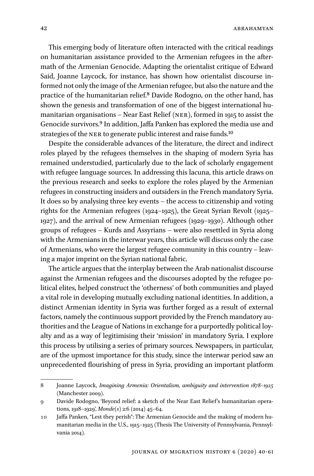This emerging body of literature often interacted with the critical readings on humanitarian assistance provided to the Armenian refugees in the aftermath of the Armenian Genocide. Adapting the orientalist critique of Edward Said, Joanne Laycock, for instance, has shown how orientalist discourse informed not only the image of the Armenian refugee, but also the nature and the practice of the humanitarian relief.[8](#page-2-0) Davide Rodogno, on the other hand, has shown the genesis and transformation of one of the biggest international humanitarian organisations – Near East Relief (ner), formed in 1915 to assist the Genocide survivors[.9](#page-2-1) In addition, Jaffa Panken has explored the media use and strategies of the NER to generate public interest and raise funds.<sup>[10](#page-2-2)</sup>

Despite the considerable advances of the literature, the direct and indirect roles played by the refugees themselves in the shaping of modern Syria has remained understudied, particularly due to the lack of scholarly engagement with refugee language sources. In addressing this lacuna, this article draws on the previous research and seeks to explore the roles played by the Armenian refugees in constructing insiders and outsiders in the French mandatory Syria. It does so by analysing three key events – the access to citizenship and voting rights for the Armenian refugees (1924–1925), the Great Syrian Revolt (1925– 1927), and the arrival of new Armenian refugees (1929–1930). Although other groups of refugees – Kurds and Assyrians – were also resettled in Syria along with the Armenians in the interwar years, this article will discuss only the case of Armenians, who were the largest refugee community in this country – leaving a major imprint on the Syrian national fabric.

The article argues that the interplay between the Arab nationalist discourse against the Armenian refugees and the discourses adopted by the refugee political elites, helped construct the 'otherness' of both communities and played a vital role in developing mutually excluding national identities. In addition, a distinct Armenian identity in Syria was further forged as a result of external factors, namely the continuous support provided by the French mandatory authorities and the League of Nations in exchange for a purportedly political loyalty and as a way of legitimising their 'mission' in mandatory Syria. I explore this process by utilising a series of primary sources. Newspapers, in particular, are of the upmost importance for this study, since the interwar period saw an unprecedented flourishing of press in Syria, providing an important platform

<span id="page-2-0"></span><sup>8</sup> Joanne Laycock, *Imagining Armenia: Orientalism, ambiguity and intervention 1878–1925* (Manchester 2009).

<span id="page-2-1"></span><sup>9</sup> Davide Rodogno, 'Beyond relief: a sketch of the Near East Relief's humanitarian operations, 1918–1929', *Monde(s)* 2:6 (2014) 45–64.

<span id="page-2-2"></span><sup>10</sup> Jaffa Panken, "Lest they perish": The Armenian Genocide and the making of modern humanitarian media in the U.S., 1915–1925 (Thesis The University of Pennsylvania, Pennsylvania 2014).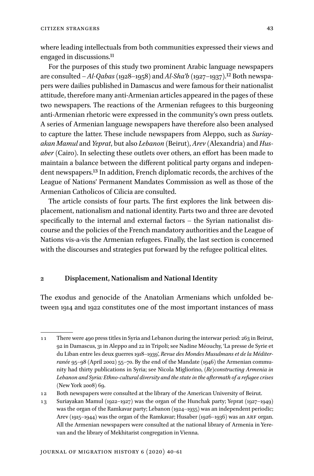where leading intellectuals from both communities expressed their views and engaged in discussions[.11](#page-3-0)

For the purposes of this study two prominent Arabic language newspapers are consulted – *Al-Qabas* (1928–1958) and *Al-Sha'b* (1927–1937)[.12](#page-3-1) Both newspapers were dailies published in Damascus and were famous for their nationalist attitude, therefore many anti-Armenian articles appeared in the pages of these two newspapers. The reactions of the Armenian refugees to this burgeoning anti-Armenian rhetoric were expressed in the community's own press outlets. A series of Armenian language newspapers have therefore also been analysed to capture the latter. These include newspapers from Aleppo, such as *Suriayakan Mamul* and *Yeprat*, but also *Lebanon* (Beirut), *Arev* (Alexandria) and *Husaber* (Cairo). In selecting these outlets over others, an effort has been made to maintain a balance between the different political party organs and independent newspapers[.13](#page-3-2) In addition, French diplomatic records, the archives of the League of Nations' Permanent Mandates Commission as well as those of the Armenian Catholicos of Cilicia are consulted.

The article consists of four parts. The first explores the link between displacement, nationalism and national identity. Parts two and three are devoted specifically to the internal and external factors – the Syrian nationalist discourse and the policies of the French mandatory authorities and the League of Nations vis-a-vis the Armenian refugees. Finally, the last section is concerned with the discourses and strategies put forward by the refugee political elites.

### **2 Displacement, Nationalism and National Identity**

The exodus and genocide of the Anatolian Armenians which unfolded between 1914 and 1922 constitutes one of the most important instances of mass

<span id="page-3-0"></span><sup>11</sup> There were 490 press titles in Syria and Lebanon during the interwar period: 263 in Beirut, 92 in Damascus, 31 in Aleppo and 22 in Tripoli; see Nadine Méouchy, 'La presse de Syrie et du Liban entre les deux guerres 1918–1939', *Revue des Mondes Musulmans et de la Méditerranée* 95–98 (April 2002) 55–70. By the end of the Mandate (1946) the Armenian community had thirty publications in Syria; see Nicola Migliorino, (*Re)constructing Armenia in Lebanon and Syria: Ethno-cultural diversity and the state in the aftermath of a refugee crises* (New York 2008) 69.

<span id="page-3-1"></span><sup>12</sup> Both newspapers were consulted at the library of the American University of Beirut.

<span id="page-3-2"></span><sup>13</sup> Suriayakan Mamul (1922–1927) was the organ of the Hunchak party; Yeprat (1927–1949) was the organ of the Ramkavar party; Lebanon (1924–1935) was an independent periodic; Arev (1915–1944) was the organ of the Ramkavar; Husaber (1926–1936) was an ARF organ. All the Armenian newspapers were consulted at the national library of Armenia in Yerevan and the library of Mekhitarist congregation in Vienna.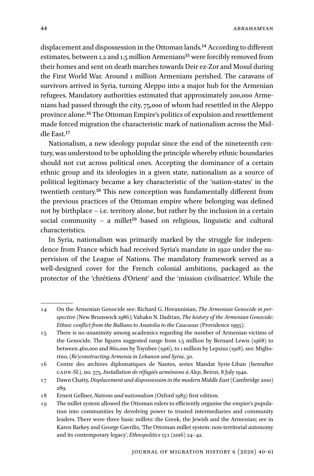displacement and dispossession in the Ottoman lands.[14](#page-4-0) According to different estimates, between 1.2 and 1.5 million Armenians<sup>15</sup> were forcibly removed from their homes and sent on death marches towards Deir ez-Zor and Mosul during the First World War. Around 1 million Armenians perished. The caravans of survivors arrived in Syria, turning Aleppo into a major hub for the Armenian refugees. Mandatory authorities estimated that approximately 200,000 Armenians had passed through the city, 75,000 of whom had resettled in the Aleppo province alone.[16](#page-4-2) The Ottoman Empire's politics of expulsion and resettlement made forced migration the characteristic mark of nationalism across the Middle East.[17](#page-4-3)

Nationalism, a new ideology popular since the end of the nineteenth century, was understood to be upholding the principle whereby ethnic boundaries should not cut across political ones. Accepting the dominance of a certain ethnic group and its ideologies in a given state, nationalism as a source of political legitimacy became a key characteristic of the 'nation-states' in the twentieth century.[18](#page-4-4) This new conception was fundamentally different from the previous practices of the Ottoman empire where belonging was defined not by birthplace – i.e. territory alone, but rather by the inclusion in a certain social community – a millet<sup>19</sup> based on religious, linguistic and cultural characteristics.

In Syria, nationalism was primarily marked by the struggle for independence from France which had received Syria's mandate in 1920 under the supervision of the League of Nations. The mandatory framework served as a well-designed cover for the French colonial ambitions, packaged as the protector of the 'chrétiens d'Orient' and the 'mission civilisatrice'. While the

<span id="page-4-0"></span><sup>14</sup> On the Armenian Genocide see: Richard G. Hovannisian, *The Armenian Genocide in perspective* (New Brunswick 1986); Vahakn N. Dadrian, *The history of the Armenian Genocide: Ethnic conflict from the Balkans to Anatolia to the Caucasus* (Providence 1995).

<span id="page-4-1"></span><sup>15</sup> There is no unanimity among academics regarding the number of Armenian victims of the Genocide. The figures suggested range from 1.5 million by Bernard Lewis (1968) to between 460,000 and 860,000 by Toynbee (1916), to 1 million by Lepsius (1918), see: Migliorino, (*Re)constructing Armenia in Lebanon and Syria*, 30.

<span id="page-4-2"></span><sup>16</sup> Centre des archives diplomatiques de Nantes, series Mandat Syrie-Liban (hereafter cadn-SL), no. 575, *Installation de réfugiés arméniens à Alep*, Beirut, 8 July 1940.

<span id="page-4-3"></span><sup>17</sup> Dawn Chatty, *Displacement and dispossession in the modern Middle East (*Cambridge 2010) 289.

<span id="page-4-4"></span><sup>18</sup> Ernest Gellner, *Nations and nationalism* (Oxford 1983) first edition.

<span id="page-4-5"></span><sup>19</sup> The millet system allowed the Ottoman rulers to efficiently organise the empire's population into communities by devolving power to trusted intermediaries and community leaders. There were three basic millets: the Greek, the Jewish and the Armenian; see in Karen Barkey and George Gavrilis, 'The Ottoman millet system: non-territorial autonomy and its contemporary legacy', *Ethnopolitics* 15:1 (2016) 24–42.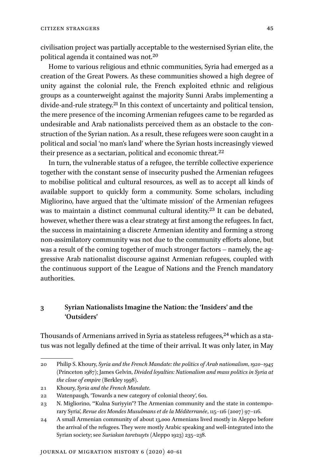civilisation project was partially acceptable to the westernised Syrian elite, the political agenda it contained was not.[20](#page-5-0)

Home to various religious and ethnic communities, Syria had emerged as a creation of the Great Powers. As these communities showed a high degree of unity against the colonial rule, the French exploited ethnic and religious groups as a counterweight against the majority Sunni Arabs implementing a divide-and-rule strategy.[21](#page-5-1) In this context of uncertainty and political tension, the mere presence of the incoming Armenian refugees came to be regarded as undesirable and Arab nationalists perceived them as an obstacle to the construction of the Syrian nation. As a result, these refugees were soon caught in a political and social 'no man's land' where the Syrian hosts increasingly viewed their presence as a sectarian, political and economic threat.<sup>[22](#page-5-2)</sup>

In turn, the vulnerable status of a refugee, the terrible collective experience together with the constant sense of insecurity pushed the Armenian refugees to mobilise political and cultural resources, as well as to accept all kinds of available support to quickly form a community. Some scholars, including Migliorino, have argued that the 'ultimate mission' of the Armenian refugees was to maintain a distinct communal cultural identity.<sup>23</sup> It can be debated, however, whether there was a clear strategy at first among the refugees. In fact, the success in maintaining a discrete Armenian identity and forming a strong non-assimilatory community was not due to the community efforts alone, but was a result of the coming together of much stronger factors – namely, the aggressive Arab nationalist discourse against Armenian refugees, coupled with the continuous support of the League of Nations and the French mandatory authorities.

# **3 Syrian Nationalists Imagine the Nation: the 'Insiders' and the 'Outsiders'**

Thousands of Armenians arrived in Syria as stateless refugees,  $24$  which as a status was not legally defined at the time of their arrival. It was only later, in May

<span id="page-5-0"></span><sup>20</sup> Philip S. Khoury, *Syria and the French Mandate: the politics of Arab nationalism*, *1920–1945* (Princeton 1987); James Gelvin, *Divided loyalties: Nationalism and mass politics in Syria at the close of empire* (Berkley 1998).

<span id="page-5-1"></span><sup>21</sup> Khoury, *Syria and the French Mandate.*

<span id="page-5-2"></span><sup>22</sup> Watenpaugh, 'Towards a new category of colonial theory', 601.

<span id="page-5-3"></span><sup>23</sup> N. Migliorino, '"Kulna Suriyyin"? The Armenian community and the state in contemporary Syria', *Revue des Mondes Musulmans et de la Méditerranée*, 115–116 (2007) 97–116.

<span id="page-5-4"></span><sup>24</sup> A small Armenian community of about 13,000 Armenians lived mostly in Aleppo before the arrival of the refugees. They were mostly Arabic speaking and well-integrated into the Syrian society; see *Suriakan taretsuyts* (Aleppo 1923) 235–238.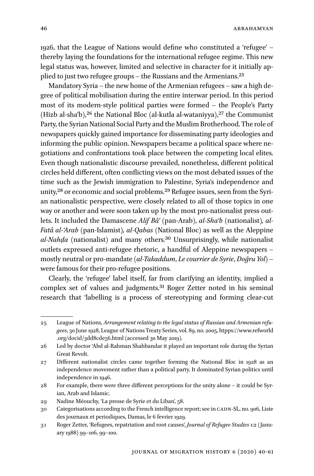1926, that the League of Nations would define who constituted a 'refugee' – thereby laying the foundations for the international refugee regime. This new legal status was, however, limited and selective in character for it initially applied to just two refugee groups – the Russians and the Armenians[.25](#page-6-0)

Mandatory Syria – the new home of the Armenian refugees – saw a high degree of political mobilisation during the entire interwar period. In this period most of its modern-style political parties were formed – the People's Party (Hizb al-sha'b),<sup>26</sup> the National Bloc (al-kutla al-wataniyya),<sup>27</sup> the Communist Party, the Syrian National Social Party and the Muslim Brotherhood. The role of newspapers quickly gained importance for disseminating party ideologies and informing the public opinion. Newspapers became a political space where negotiations and confrontations took place between the competing local elites. Even though nationalistic discourse prevailed, nonetheless, different political circles held different, often conflicting views on the most debated issues of the time such as the Jewish immigration to Palestine, Syria's independence and unity[,28](#page-6-3) or economic and social problems[.29](#page-6-4) Refugee issues, seen from the Syrian nationalistic perspective, were closely related to all of those topics in one way or another and were soon taken up by the most pro-nationalist press outlets. It included the Damascene *Alif Bâ'* (pan-Arab), *al-Sha'b* (nationalist)*, al-Fatâ al-'Arab* (pan-Islamist)*, al-Qabas* (National Bloc) as well as the Aleppine *al-Nahḍa* (nationalist) and many others[.30](#page-6-5) Unsurprisingly, while nationalist outlets expressed anti-refugee rhetoric, a handful of Aleppine newspapers – mostly neutral or pro-mandate (*al-Takaddum*, *Le courrier de Syrie*, *Doğru Yol)* – were famous for their pro-refugee positions.

Clearly, the 'refugee' label itself, far from clarifying an identity, implied a complex set of values and judgments[.31](#page-6-6) Roger Zetter noted in his seminal research that 'labelling is a process of stereotyping and forming clear-cut

<span id="page-6-3"></span>28 For example, there were three different perceptions for the unity alone – it could be Syrian, Arab and Islamic.

<span id="page-6-0"></span><sup>25</sup> League of Nations, *Arrangement relating to the legal status of Russian and Armenian refugees*, 30 June 1928, League of Nations Treaty Series, vol. 89, no. 2005, htpps:/[/www.refworld](http://www.refworld.org/docid/3dd8cde56.html) [.org/docid/3dd8cde56.html](http://www.refworld.org/docid/3dd8cde56.html) (accessed 30 May 2019).

<span id="page-6-1"></span><sup>26</sup> Led by doctor 'Abd al-Rahman Shahbandar it played an important role during the Syrian Great Revolt.

<span id="page-6-2"></span><sup>27</sup> Different nationalist circles came together forming the National Bloc in 1928 as an independence movement rather than a political party. It dominated Syrian politics until independence in 1946.

<span id="page-6-4"></span><sup>29</sup> Nadine Méouchy, 'La presse de Syrie et du Liban', 58.

<span id="page-6-5"></span><sup>30</sup> Categorisations according to the French intelligence report; see in cadn-SL, no. 906, Liste des journaux et periodiques, Damas, le 6 fevrier 1929.

<span id="page-6-6"></span><sup>31</sup> Roger Zetter, 'Refugees, repatriation and root causes', *Journal of Refugee Studies* 1:2 (January 1988) 99–106, 99–100.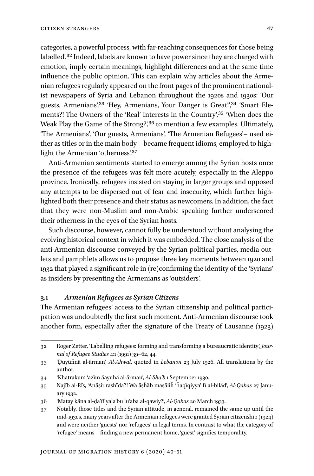categories, a powerful process, with far-reaching consequences for those being labelled'[.32](#page-7-0) Indeed, labels are known to have power since they are charged with emotion, imply certain meanings, highlight differences and at the same time influence the public opinion. This can explain why articles about the Armenian refugees regularly appeared on the front pages of the prominent nationalist newspapers of Syria and Lebanon throughout the 1920s and 1930s: 'Our guests, Armenians', 33 'Hey, Armenians, Your Danger is Great!', [34](#page-7-2) 'Smart Elements?! The Owners of the 'Real' Interests in the Country'[,35](#page-7-3) 'When does the Weak Play the Game of the Strong?',<sup>36</sup> to mention a few examples. Ultimately, 'The Armenians', 'Our guests, Armenians', 'The Armenian Refugees'– used either as titles or in the main body – became frequent idioms, employed to highlight the Armenian 'otherness'.[37](#page-7-5)

Anti-Armenian sentiments started to emerge among the Syrian hosts once the presence of the refugees was felt more acutely, especially in the Aleppo province. Ironically, refugees insisted on staying in larger groups and opposed any attempts to be dispersed out of fear and insecurity, which further highlighted both their presence and their status as newcomers. In addition, the fact that they were non-Muslim and non-Arabic speaking further underscored their otherness in the eyes of the Syrian hosts.

Such discourse, however, cannot fully be understood without analysing the evolving historical context in which it was embedded. The close analysis of the anti-Armenian discourse conveyed by the Syrian political parties, media outlets and pamphlets allows us to propose three key moments between 1920 and 1932 that played a significant role in (re)confirming the identity of the 'Syrians' as insiders by presenting the Armenians as 'outsiders'.

## **3.1** *Armenian Refugees as Syrian Citizens*

The Armenian refugees' access to the Syrian citizenship and political participation was undoubtedly the first such moment. Anti-Armenian discourse took another form, especially after the signature of the Treaty of Lausanne (1923)

<span id="page-7-0"></span><sup>32</sup> Roger Zetter, 'Labelling refugees: forming and transforming a bureaucratic identity', *Journal of Refugee Studies* 4:1 (1991) 39–62, 44.

<span id="page-7-1"></span><sup>33</sup> 'Ḍuyüfinä al-ärman', *Al-Ahwal*, quoted in *Lebanon* 23 July 1926. All translations by the author.

<span id="page-7-2"></span><sup>34</sup> 'Khaṭrakum 'aẓïm äayuhä al-ärman', *Al-Sha'b* 1 September 1930.

<span id="page-7-3"></span><sup>35</sup> Najïb al-Rïs, 'Anäṣir rashïda?! Wa äṣḧäb maṣäliḧ 'ḧaqïqiyya' fï al-biläd', *Al-Qabas* 27 January 1932.

<span id="page-7-4"></span><sup>36</sup> 'Matay käna al-ḍa'ïf yala'bu lu'aba al-qawiy?', *Al-Qabas* 20 March 1933.

<span id="page-7-5"></span><sup>37</sup> Notably, those titles and the Syrian attitude, in general, remained the same up until the mid-1930s, many years after the Armenian refugees were granted Syrian citizenship (1924) and were neither 'guests' nor 'refugees' in legal terms. In contrast to what the category of 'refugee' means – finding a new permanent home, 'guest' signifies temporality.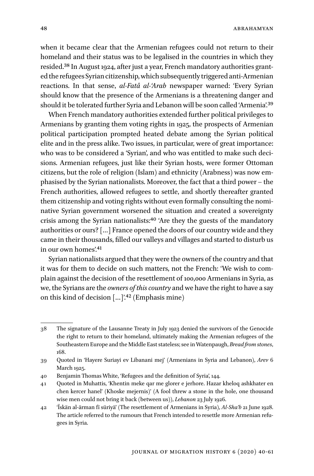when it became clear that the Armenian refugees could not return to their homeland and their status was to be legalised in the countries in which they resided.[38](#page-8-0) In August 1924, after just a year, French mandatory authorities granted the refugees Syrian citizenship, which subsequently triggered anti-Armenian reactions. In that sense, *al-Fatâ al-'Arab* newspaper warned: 'Every Syrian should know that the presence of the Armenians is a threatening danger and should it be tolerated further Syria and Lebanon will be soon called 'Armenia'.[39](#page-8-1)

When French mandatory authorities extended further political privileges to Armenians by granting them voting rights in 1925, the prospects of Armenian political participation prompted heated debate among the Syrian political elite and in the press alike. Two issues, in particular, were of great importance: who was to be considered a 'Syrian', and who was entitled to make such decisions. Armenian refugees, just like their Syrian hosts, were former Ottoman citizens, but the role of religion (Islam) and ethnicity (Arabness) was now emphasised by the Syrian nationalists. Moreover, the fact that a third power – the French authorities, allowed refugees to settle, and shortly thereafter granted them citizenship and voting rights without even formally consulting the nominative Syrian government worsened the situation and created a sovereignty crisis among the Syrian nationalists:[40](#page-8-2) 'Are they the guests of the mandatory authorities or ours? […] France opened the doors of our country wide and they came in their thousands, filled our valleys and villages and started to disturb us in our own homes'.[41](#page-8-3)

Syrian nationalists argued that they were the owners of the country and that it was for them to decide on such matters, not the French: 'We wish to complain against the decision of the resettlement of 100,000 Armenians in Syria, as we, the Syrians are the *owners of this country* and we have the right to have a say on this kind of decision […]'[.42](#page-8-4) (Emphasis mine)

<span id="page-8-0"></span><sup>38</sup> The signature of the Lausanne Treaty in July 1923 denied the survivors of the Genocide the right to return to their homeland, ultimately making the Armenian refugees of the Southeastern Europe and the Middle East stateless; see in Watenpaugh, *Bread from stones*, 168.

<span id="page-8-1"></span><sup>39</sup> Quoted in 'Hayere Suriayi ev Libanani mej' (Armenians in Syria and Lebanon), *Arev* 6 March 1925.

<span id="page-8-2"></span><sup>40</sup> Benjamin Thomas White, 'Refugees and the definition of Syria', 144.

<span id="page-8-3"></span><sup>41</sup> Quoted in Muhattis, 'Khentin meke qar me glorer e jerhore. Hazar kheloq ashkhater en chen kercer hanel' (Khoske mejernis)' (A fool threw a stone in the hole, one thousand wise men could not bring it back (between us)), *Lebanon* 23 July 1926.

<span id="page-8-4"></span><sup>42</sup> 'Ïskän al-ärman fï süriyä' (The resettlement of Armenians in Syria), *Al-Sha'b* 21 June 1928. The article referred to the rumours that French intended to resettle more Armenian refugees in Syria.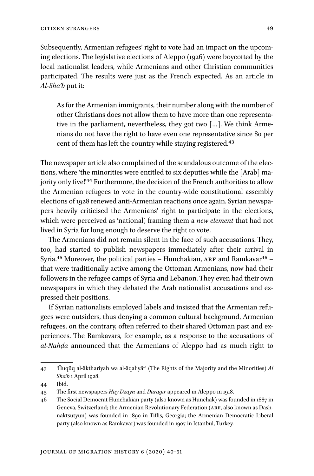Subsequently, Armenian refugees' right to vote had an impact on the upcoming elections. The legislative elections of Aleppo (1926) were boycotted by the local nationalist leaders, while Armenians and other Christian communities participated. The results were just as the French expected. As an article in *Al-Sha'b* put it:

As for the Armenian immigrants, their number along with the number of other Christians does not allow them to have more than one representative in the parliament, nevertheless, they got two […]. We think Armenians do not have the right to have even one representative since 80 per cent of them has left the country while staying registered[.43](#page-9-0)

The newspaper article also complained of the scandalous outcome of the elections, where 'the minorities were entitled to six deputies while the [Arab] majority only five!'<sup>44</sup> Furthermore, the decision of the French authorities to allow the Armenian refugees to vote in the country-wide constitutional assembly elections of 1928 renewed anti-Armenian reactions once again. Syrian newspapers heavily criticised the Armenians' right to participate in the elections, which were perceived as 'national', framing them a *new element* that had not lived in Syria for long enough to deserve the right to vote.

The Armenians did not remain silent in the face of such accusations. They, too, had started to publish newspapers immediately after their arrival in Syria.<sup>[45](#page-9-2)</sup> Moreover, the political parties - Hunchakian, ARF and Ramkavar<sup>46</sup> that were traditionally active among the Ottoman Armenians, now had their followers in the refugee camps of Syria and Lebanon. They even had their own newspapers in which they debated the Arab nationalist accusations and expressed their positions.

If Syrian nationalists employed labels and insisted that the Armenian refugees were outsiders, thus denying a common cultural background, Armenian refugees, on the contrary, often referred to their shared Ottoman past and experiences. The Ramkavars, for example, as a response to the accusations of *al-Nahḍa* announced that the Armenians of Aleppo had as much right to

<span id="page-9-0"></span><sup>43</sup> 'Ḧuqüq al-äkthariyah wa al-äqaliyät' (The Rights of the Majority and the Minorities) *Al Sha'b* 1 April 1928.

<span id="page-9-1"></span><sup>44</sup> Ibid.

<span id="page-9-2"></span><sup>45</sup> The first newspapers *Hay Dzayn* and *Daragir* appeared in Aleppo in 1918.

<span id="page-9-3"></span><sup>46</sup> The Social Democrat Hunchakian party (also known as Hunchak) was founded in 1887 in Geneva, Switzerland; the Armenian Revolutionary Federation (ARF, also known as Dashnaktsutyun) was founded in 1890 in Tiflis, Georgia; the Armenian Democratic Liberal party (also known as Ramkavar) was founded in 1907 in Istanbul, Turkey.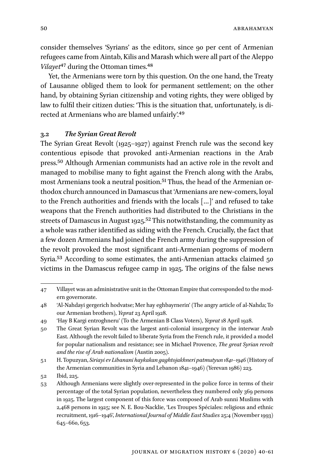consider themselves 'Syrians' as the editor*s*, since 90 per cent of Armenian refugees came from Aintab, Kilis and Marash which were all part of the Aleppo *Vilayet*[47](#page-10-0) during the Ottoman times[.48](#page-10-1)

Yet, the Armenians were torn by this question. On the one hand, the Treaty of Lausanne obliged them to look for permanent settlement; on the other hand, by obtaining Syrian citizenship and voting rights, they were obliged by law to fulfil their citizen duties: 'This is the situation that, unfortunately, is directed at Armenians who are blamed unfairly'[.49](#page-10-2)

## **3.2** *The Syrian Great Revolt*

The Syrian Great Revolt (1925–1927) against French rule was the second key contentious episode that provoked anti-Armenian reactions in the Arab press[.50](#page-10-3) Although Armenian communists had an active role in the revolt and managed to mobilise many to fight against the French along with the Arabs, most Armenians took a neutral position.<sup>51</sup> Thus, the head of the Armenian orthodox church announced in Damascus that 'Armenians are new-comers, loyal to the French authorities and friends with the locals […]' and refused to take weapons that the French authorities had distributed to the Christians in the streets of Damascus in August 1925.<sup>[52](#page-10-5)</sup> This notwithstanding, the community as a whole was rather identified as siding with the French. Crucially, the fact that a few dozen Armenians had joined the French army during the suppression of the revolt provoked the most significant anti-Armenian pogroms of modern Syria.[53](#page-10-6) According to some estimates, the anti-Armenian attacks claimed 50 victims in the Damascus refugee camp in 1925. The origins of the false news

<span id="page-10-0"></span><sup>47</sup> Villayet was an administrative unit in the Ottoman Empire that corresponded to the modern governorate.

<span id="page-10-1"></span><sup>48</sup> 'Al-Nahdayi gergerich hodvatse; Mer hay eghbayrnerin' (The angry article of al-Nahda; To our Armenian brothers), *Yeprat* 23 April 1928.

<span id="page-10-2"></span><sup>49</sup> 'Hay B Kargi entroghneru' (To the Armenian B Class Voters), *Yeprat* 18 April 1928.

<span id="page-10-3"></span><sup>50</sup> The Great Syrian Revolt was the largest anti-colonial insurgency in the interwar Arab East. Although the revolt failed to liberate Syria from the French rule, it provided a model for popular nationalism and resistance; see in Michael Provence, *The great Syrian revolt and the rise of Arab nationalism* (Austin 2005).

<span id="page-10-4"></span><sup>51</sup> H. Topuzyan, *Siriayi ev Libanani haykakan gaghtojakhneri patmutyun 1841–1946* (History of the Armenian communities in Syria and Lebanon 1841–1946) (Yerevan 1986) 223.

<span id="page-10-5"></span><sup>52</sup> Ibid, 225.

<span id="page-10-6"></span><sup>53</sup> Although Armenians were slightly over-represented in the police force in terms of their percentage of the total Syrian population, nevertheless they numbered only 369 persons in 1925. The largest component of this force was composed of Arab sunni Muslims with 2,468 persons in 1925; see N. E. Bou-Nacklie, 'Les Troupes Spéciales: religious and ethnic recruitment, 1916–1946', *International Journal of Middle East Studies* 25:4 (November 1993) 645–660, 653.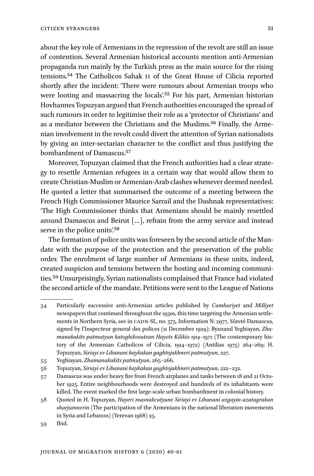about the key role of Armenians in the repression of the revolt are still an issue of contention. Several Armenian historical accounts mention anti-Armenian propaganda run mainly by the Turkish press as the main source for the rising tensions[.54](#page-11-0) The Catholicos Sahak ii of the Great House of Cilicia reported shortly after the incident: 'There were rumours about Armenian troops who were looting and massacring the locals'.<sup>55</sup> For his part, Armenian historian Hovhannes Topuzyan argued that French authorities encouraged the spread of such rumours in order to legitimise their role as a 'protector of Christians' and as a mediator between the Christians and the Muslims.[56](#page-11-2) Finally, the Armenian involvement in the revolt could divert the attention of Syrian nationalists by giving an inter-sectarian character to the conflict and thus justifying the bombardment of Damascus.[57](#page-11-3)

Moreover, Topuzyan claimed that the French authorities had a clear strategy to resettle Armenian refugees in a certain way that would allow them to create Christian-Muslim or Armenian-Arab clashes whenever deemed needed. He quoted a letter that summarised the outcome of a meeting between the French High Commissioner Maurice Sarrail and the Dashnak representatives: 'The High Commissioner thinks that Armenians should be mainly resettled around Damascus and Beirut […], refrain from the army service and instead serve in the police units'.[58](#page-11-4)

The formation of police units was foreseen by the second article of the Mandate with the purpose of the protection and the preservation of the public order. The enrolment of large number of Armenians in these units, indeed, created suspicion and tensions between the hosting and incoming communities.[59](#page-11-5) Unsurprisingly, Syrian nationalists complained that France had violated the second article of the mandate. Petitions were sent to the League of Nations

<span id="page-11-5"></span>59 Ibid.

<span id="page-11-0"></span><sup>54</sup> Particularly successive anti-Armenian articles published by *Cumhuriyet* and *Milliyet* newspapers that continued throughout the 1930s, this time targeting the Armenian settlements in Northern Syria, see in CADN-SL, no. 575, Information N: 2977, Sûreté Damascus, signed by l'Inspecteur general des polices (11 December 1929); Byuzand Yeghiayan, *Zhamanakakits patmutyun katoghikosutean Hayots Kilikio 1914–1972* (The contemporary history of the Armenian Catholicos of Cilicia, 1914–1972) (Antilias 1975) 264–269; H. Topuzyan, *Siriayi ev Libanani haykakan gaghtojakhneri patmutyun*, 227.

<span id="page-11-1"></span><sup>55</sup> Yeghiayan, *Zhamanakakits patmutyun*, 265–266.

<span id="page-11-2"></span><sup>56</sup> Topuzyan, *Siriayi ev Libanani haykakan gaghtojakhneri patmutyun*, 222–232.

<span id="page-11-3"></span><sup>57</sup> Damascus was under heavy fire from French airplanes and tanks between 18 and 21 October 1925. Entire neighbourhoods were destroyed and hundreds of its inhabitants were killed. The event marked the first large-scale urban bombardment in colonial history.

<span id="page-11-4"></span><sup>58</sup> Quoted in H. Topuzyan, *Hayeri masnakcutyune Siriayi ev Libanani azgayin-azatagrakan sharjumnerin* (The participation of the Armenians in the national liberation movements in Syria and Lebanon) (Yerevan 1968) 25.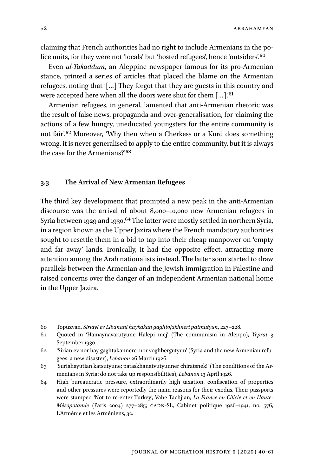claiming that French authorities had no right to include Armenians in the police units, for they were not 'locals' but 'hosted refugees', hence 'outsiders'.<sup>60</sup>

Even *al-Takaddum*, an Aleppine newspaper famous for its pro-Armenian stance, printed a series of articles that placed the blame on the Armenian refugees, noting that '[…] They forgot that they are guests in this country and were accepted here when all the doors were shut for them [...]'.<sup>61</sup>

Armenian refugees, in general, lamented that anti-Armenian rhetoric was the result of false news, propaganda and over-generalisation, for 'claiming the actions of a few hungry, uneducated youngsters for the entire community is not fair'.[62](#page-12-2) Moreover, 'Why then when a Cherkess or a Kurd does something wrong, it is never generalised to apply to the entire community, but it is always the case for the Armenians?'[63](#page-12-3)

#### **3.3 The Arrival of New Armenian Refugees**

The third key development that prompted a new peak in the anti-Armenian discourse was the arrival of about 8,000–10,000 new Armenian refugees in Syria between 1929 and 1930.<sup>64</sup> The latter were mostly settled in northern Syria, in a region known as the Upper Jazira where the French mandatory authorities sought to resettle them in a bid to tap into their cheap manpower on 'empty and far away' lands. Ironically, it had the opposite effect, attracting more attention among the Arab nationalists instead. The latter soon started to draw parallels between the Armenian and the Jewish immigration in Palestine and raised concerns over the danger of an independent Armenian national home in the Upper Jazira.

<span id="page-12-0"></span><sup>60</sup> Topuzyan, *Siriayi ev Libanani haykakan gaghtojakhneri patmutyun*, 227–228.

<span id="page-12-1"></span><sup>61</sup> Quoted in 'Hamaynavarutyune Halepi mej' (The communism in Aleppo), *Yeprat* 3 September 1930.

<span id="page-12-2"></span><sup>62</sup> 'Sirian ev nor hay gaghtakannere. nor voghbergutyun' (Syria and the new Armenian refugees: a new disaster), *Lebanon* 26 March 1926.

<span id="page-12-3"></span><sup>63</sup> 'Suriahayutian katsutyune; pataskhanatvutyunner chiratsnek!' (The conditions of the Armenians in Syria; do not take up responsibilities), *Lebanon* 13 April 1926.

<span id="page-12-4"></span><sup>64</sup> High bureaucratic pressure, extraordinarily high taxation, confiscation of properties and other pressures were reportedly the main reasons for their exodus. Their passports were stamped 'Not to re-enter Turkey', Vahe Tachjian, *La France en Cilicie et en Haute-Mésopotamie* (Paris 2004) 277-285; CADN-SL, Cabinet politique 1926-1941, no. 576, L'Arménie et les Arméniens, 32.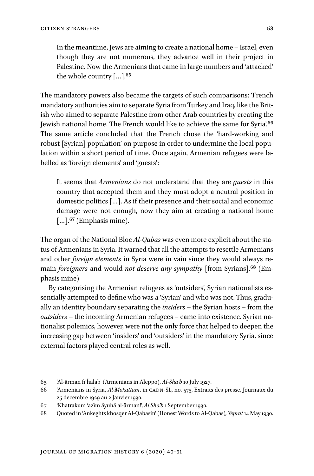In the meantime, Jews are aiming to create a national home – Israel, even though they are not numerous, they advance well in their project in Palestine. Now the Armenians that came in large numbers and 'attacked' the whole country […].[65](#page-13-0)

The mandatory powers also became the targets of such comparisons: 'French mandatory authorities aim to separate Syria from Turkey and Iraq, like the British who aimed to separate Palestine from other Arab countries by creating the Jewish national home. The French would like to achieve the same for Syria'.[66](#page-13-1) The same article concluded that the French chose the 'hard-working and robust [Syrian] population' on purpose in order to undermine the local population within a short period of time. Once again, Armenian refugees were labelled as 'foreign elements' and 'guests':

It seems that *Armenians* do not understand that they are *guests* in this country that accepted them and they must adopt a neutral position in domestic politics […]. As if their presence and their social and economic damage were not enough, now they aim at creating a national home [...].<sup>67</sup> (Emphasis mine).

The organ of the National Bloc *Al-Qabas* was even more explicit about the status of Armenians in Syria. It warned that all the attempts to resettle Armenians and other *foreign elements* in Syria were in vain since they would always remain *foreigners* and would *not deserve any sympathy* [from Syrians][.68](#page-13-3) (Emphasis mine)

By categorising the Armenian refugees as 'outsiders', Syrian nationalists essentially attempted to define who was a 'Syrian' and who was not. Thus, gradually an identity boundary separating the *insiders* – the Syrian hosts – from the *outsiders* – the incoming Armenian refugees – came into existence. Syrian nationalist polemics, however, were not the only force that helped to deepen the increasing gap between 'insiders' and 'outsiders' in the mandatory Syria, since external factors played central roles as well.

<span id="page-13-0"></span><sup>65</sup> 'Al-ärman fï ḧalab' (Armenians in Aleppo), *Al-Sha'b* 10 July 1927.

<span id="page-13-1"></span><sup>66</sup> 'Armenians in Syria', *Al-Mokattam*, in cadn-SL, no. 575, Extraits des presse, Journaux du 25 decembre 1929 au 2 Janvier 1930.

<span id="page-13-2"></span><sup>67</sup> 'Khaṭrakum 'aẓïm äyuhä al-ärman!', *Al Sha'b* 1 September 1930.

<span id="page-13-3"></span><sup>68</sup> Quoted in 'Ankeghts khosqer Al-Qabasin' (Honest Words to Al-Qabas)*, Yeprat* 14 May 1930.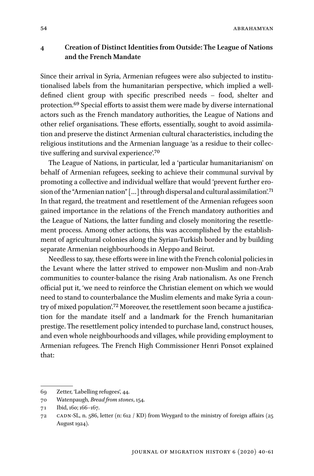# **4 Creation of Distinct Identities from Outside: The League of Nations and the French Mandate**

Since their arrival in Syria, Armenian refugees were also subjected to institutionalised labels from the humanitarian perspective, which implied a welldefined client group with specific prescribed needs – food, shelter and protection[.69](#page-14-0) Special efforts to assist them were made by diverse international actors such as the French mandatory authorities, the League of Nations and other relief organisations. These efforts, essentially, sought to avoid assimilation and preserve the distinct Armenian cultural characteristics, including the religious institutions and the Armenian language 'as a residue to their collective suffering and survival experience'.[70](#page-14-1)

The League of Nations, in particular, led a 'particular humanitarianism' on behalf of Armenian refugees, seeking to achieve their communal survival by promoting a collective and individual welfare that would 'prevent further erosion of the "Armenian nation" […] through dispersal and cultural assimilation'[.71](#page-14-2) In that regard, the treatment and resettlement of the Armenian refugees soon gained importance in the relations of the French mandatory authorities and the League of Nations, the latter funding and closely monitoring the resettlement process. Among other actions, this was accomplished by the establishment of agricultural colonies along the Syrian-Turkish border and by building separate Armenian neighbourhoods in Aleppo and Beirut.

Needless to say, these efforts were in line with the French colonial policies in the Levant where the latter strived to empower non-Muslim and non-Arab communities to counter-balance the rising Arab nationalism. As one French official put it, 'we need to reinforce the Christian element on which we would need to stand to counterbalance the Muslim elements and make Syria a country of mixed population'.<sup>72</sup> Moreover, the resettlement soon became a justification for the mandate itself and a landmark for the French humanitarian prestige. The resettlement policy intended to purchase land, construct houses, and even whole neighbourhoods and villages, while providing employment to Armenian refugees. The French High Commissioner Henri Ponsot explained that:

<span id="page-14-0"></span><sup>69</sup> Zetter, 'Labelling refugees', 44.

<span id="page-14-1"></span><sup>70</sup> Watenpaugh, *Bread from stones*, 154.

<span id="page-14-2"></span><sup>71</sup> Ibid, 160; 166–167.

<span id="page-14-3"></span><sup>72</sup> cadn-SL, n. 586, letter (n: 612 / KD) from Weygard to the ministry of foreign affairs (25 August 1924).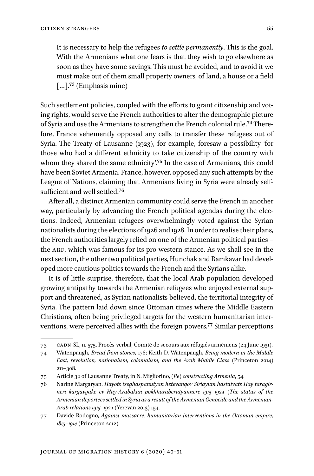It is necessary to help the refugees *to settle permanently*. This is the goal. With the Armenians what one fears is that they wish to go elsewhere as soon as they have some savings. This must be avoided, and to avoid it we must make out of them small property owners, of land, a house or a field […][.73](#page-15-0) (Emphasis mine)

Such settlement policies, coupled with the efforts to grant citizenship and voting rights, would serve the French authorities to alter the demographic picture of Syria and use the Armenians to strengthen the French colonial rule.[74](#page-15-1) Therefore, France vehemently opposed any calls to transfer these refugees out of Syria. The Treaty of Lausanne (1923), for example, foresaw a possibility 'for those who had a different ethnicity to take citizenship of the country with whom they shared the same ethnicity'.<sup>[75](#page-15-2)</sup> In the case of Armenians, this could have been Soviet Armenia. France, however, opposed any such attempts by the League of Nations, claiming that Armenians living in Syria were already selfsufficient and well settled[.76](#page-15-3)

After all, a distinct Armenian community could serve the French in another way, particularly by advancing the French political agendas during the elections. Indeed, Armenian refugees overwhelmingly voted against the Syrian nationalists during the elections of 1926 and 1928. In order to realise their plans, the French authorities largely relied on one of the Armenian political parties – the ARF, which was famous for its pro-western stance. As we shall see in the next section, the other two political parties, Hunchak and Ramkavar had developed more cautious politics towards the French and the Syrians alike.

It is of little surprise, therefore, that the local Arab population developed growing antipathy towards the Armenian refugees who enjoyed external support and threatened, as Syrian nationalists believed, the territorial integrity of Syria. The pattern laid down since Ottoman times where the Middle Eastern Christians, often being privileged targets for the western humanitarian interventions, were perceived allies with the foreign powers.<sup>77</sup> Similar perceptions

<span id="page-15-0"></span><sup>73</sup> cadn-SL, n. 575, Procès-verbal, Comité de secours aux réfugiés arméniens (24 June 1931).

<span id="page-15-1"></span><sup>74</sup> Watenpaugh, *Bread from stones*, 176; Keith D. Watenpaugh, *Being modern in the Middle East, revolution, nationalism, colonialism, and the Arab Middle Class* (Princeton 2014) 211–308.

<span id="page-15-2"></span><sup>75</sup> Article 32 of Lausanne Treaty, in N. Migliorino, (*Re) constructing Armenia*, 54.

<span id="page-15-3"></span><sup>76</sup> Narine Margaryan, *Hayots tseghaspanutyan hetevanqov Siriayum hastatvats Hay taragirneri kargavijake ev Hay-Arabakan pokhharaberutyunnere 1915–1924* (*The status of the Armenian deportees settled in Syria as a result of the Armenian Genocide and the Armenian-Arab relations 1915–1924* (Yerevan 2013) 154.

<span id="page-15-4"></span><sup>77</sup> Davide Rodogno, *Against massacre: humanitarian interventions in the Ottoman empire, 1815–1914* (Princeton 2012).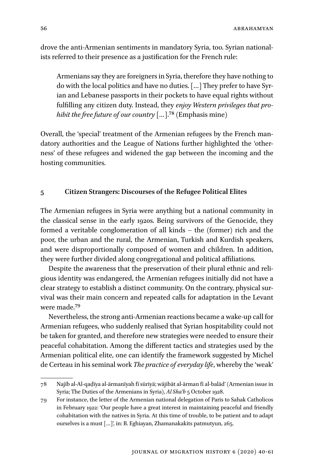drove the anti-Armenian sentiments in mandatory Syria, too. Syrian nationalists referred to their presence as a justification for the French rule:

Armenians say they are foreigners in Syria, therefore they have nothing to do with the local politics and have no duties. […] They prefer to have Syrian and Lebanese passports in their pockets to have equal rights without fulfilling any citizen duty. Instead, they *enjoy Western privileges that prohibit the free future of our country* […].[78](#page-16-0) (Emphasis mine)

Overall, the 'special' treatment of the Armenian refugees by the French mandatory authorities and the League of Nations further highlighted the 'otherness' of these refugees and widened the gap between the incoming and the hosting communities.

#### **5 Citizen Strangers: Discourses of the Refugee Political Elites**

The Armenian refugees in Syria were anything but a national community in the classical sense in the early 1920s. Being survivors of the Genocide, they formed a veritable conglomeration of all kinds – the (former) rich and the poor, the urban and the rural, the Armenian, Turkish and Kurdish speakers, and were disproportionally composed of women and children. In addition, they were further divided along congregational and political affiliations.

Despite the awareness that the preservation of their plural ethnic and religious identity was endangered, the Armenian refugees initially did not have a clear strategy to establish a distinct community. On the contrary, physical survival was their main concern and repeated calls for adaptation in the Levant were made.[79](#page-16-1)

Nevertheless, the strong anti-Armenian reactions became a wake-up call for Armenian refugees, who suddenly realised that Syrian hospitability could not be taken for granted, and therefore new strategies were needed to ensure their peaceful cohabitation. Among the different tactics and strategies used by the Armenian political elite, one can identify the framework suggested by Michel de Certeau in his seminal work *The practice of everyday life*, whereby the 'weak'

<span id="page-16-0"></span><sup>78</sup> Najïb al-Al-qaḍïya al-ärmanïyah fï süriyä; wäjibät al-ärman fï al-baläd' (Armenian issue in Syria; The Duties of the Armenians in Syria), *Al Sha'b* 5 October 1928.

<span id="page-16-1"></span><sup>79</sup> For instance, the letter of the Armenian national delegation of Paris to Sahak Catholicos in February 1922: 'Our people have a great interest in maintaining peaceful and friendly cohabitation with the natives in Syria. At this time of trouble, to be patient and to adapt ourselves is a must […]', in: B. Eghiayan, Zhamanakakits patmutyun, 265.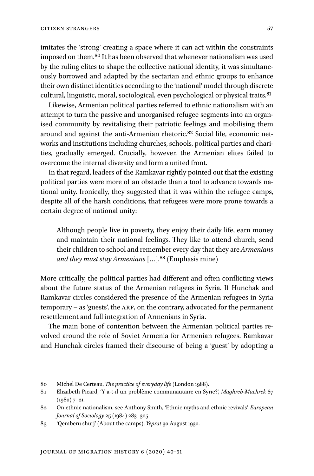imitates the 'strong' creating a space where it can act within the constraints imposed on them[.80](#page-17-0) It has been observed that whenever nationalism was used by the ruling elites to shape the collective national identity, it was simultaneously borrowed and adapted by the sectarian and ethnic groups to enhance their own distinct identities according to the 'national' model through discrete cultural, linguistic, moral, sociological, even psychological or physical traits[.81](#page-17-1)

Likewise, Armenian political parties referred to ethnic nationalism with an attempt to turn the passive and unorganised refugee segments into an organised community by revitalising their patriotic feelings and mobilising them around and against the anti-Armenian rhetoric[.82](#page-17-2) Social life, economic networks and institutions including churches, schools, political parties and charities, gradually emerged. Crucially, however, the Armenian elites failed to overcome the internal diversity and form a united front.

In that regard, leaders of the Ramkavar rightly pointed out that the existing political parties were more of an obstacle than a tool to advance towards national unity. Ironically, they suggested that it was within the refugee camps, despite all of the harsh conditions, that refugees were more prone towards a certain degree of national unity:

Although people live in poverty, they enjoy their daily life, earn money and maintain their national feelings. They like to attend church, send their children to school and remember every day that they are *Armenians and they must stay Armenians* […].[83](#page-17-3) (Emphasis mine)

More critically, the political parties had different and often conflicting views about the future status of the Armenian refugees in Syria. If Hunchak and Ramkavar circles considered the presence of the Armenian refugees in Syria  $temporary - as'quests'$ , the  $ARF$ , on the contrary, advocated for the permanent resettlement and full integration of Armenians in Syria.

The main bone of contention between the Armenian political parties revolved around the role of Soviet Armenia for Armenian refugees. Ramkavar and Hunchak circles framed their discourse of being a 'guest' by adopting a

<span id="page-17-0"></span><sup>80</sup> Michel De Certeau, *The practice of everyday life* (London 1988).

<span id="page-17-1"></span><sup>81</sup> Elizabeth Picard, 'Y a-t-il un problème communautaire en Syrie?', *Maghreb-Machrek* 87  $(1980)$  7–21.

<span id="page-17-2"></span><sup>82</sup> On ethnic nationalism, see Anthony Smith, 'Ethnic myths and ethnic revivals', *European Journal of Sociology* 25 (1984) 283–305.

<span id="page-17-3"></span><sup>83</sup> 'Qemberu shurj' (About the camps), *Yeprat* 30 August 1930.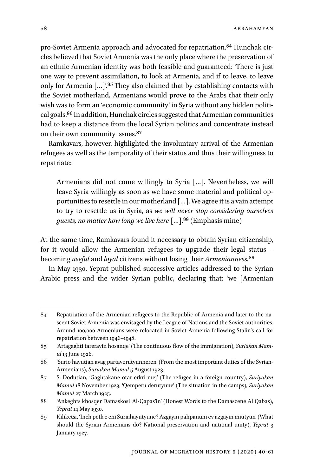pro-Soviet Armenia approach and advocated for repatriation.[84](#page-18-0) Hunchak circles believed that Soviet Armenia was the only place where the preservation of an ethnic Armenian identity was both feasible and guaranteed: 'There is just one way to prevent assimilation, to look at Armenia, and if to leave, to leave only for Armenia [...]'.<sup>85</sup> They also claimed that by establishing contacts with the Soviet motherland, Armenians would prove to the Arabs that their only wish was to form an 'economic community' in Syria without any hidden political goals.[86](#page-18-2) In addition, Hunchak circles suggested that Armenian communities had to keep a distance from the local Syrian politics and concentrate instead on their own community issues.[87](#page-18-3)

Ramkavars, however, highlighted the involuntary arrival of the Armenian refugees as well as the temporality of their status and thus their willingness to repatriate:

Armenians did not come willingly to Syria […]. Nevertheless, we will leave Syria willingly as soon as we have some material and political opportunities to resettle in our motherland […]. We agree it is a vain attempt to try to resettle us in Syria, as *we will never stop considering ourselves guests, no matter how long we live here* […][.88](#page-18-4) (Emphasis mine)

At the same time, Ramkavars found it necessary to obtain Syrian citizenship, for it would allow the Armenian refugees to upgrade their legal status – becoming *useful* and *loyal* citizens without losing their *Armenianness.*[89](#page-18-5)

In May 1930, Yeprat published successive articles addressed to the Syrian Arabic press and the wider Syrian public, declaring that: 'we [Armenian

<span id="page-18-0"></span><sup>84</sup> Repatriation of the Armenian refugees to the Republic of Armenia and later to the nascent Soviet Armenia was envisaged by the League of Nations and the Soviet authorities. Around 100,000 Armenians were relocated in Soviet Armenia following Stalin's call for repatriation between 1946–1948.

<span id="page-18-1"></span><sup>85</sup> 'Artagaghti tarerayin hosanqe' (The continuous flow of the immigration), *Suriakan Mamul* 13 June 1926.

<span id="page-18-2"></span><sup>86</sup> 'Surio hayutian avag partavorutyunneren' (From the most important duties of the Syrian-Armenians), *Suriakan Mamul* 5 August 1923.

<span id="page-18-3"></span><sup>87</sup> S. Dodutian, 'Gaghtakane otar erkri mej' (The refugee in a foreign country), *Suriyakan Mamul* 18 November 1923; 'Qemperu derutyune' (The situation in the camps), *Suriyakan Mamul* 27 March 1925.

<span id="page-18-4"></span><sup>88</sup> 'Ankeghts khosqer Damaskosi 'Al-Qapas'in' (Honest Words to the Damascene Al Qabas), *Yeprat* 14 May 1930.

<span id="page-18-5"></span><sup>89</sup> Kiliketsi, 'Inch petk e eni Suriahayutyune? Azgayin pahpanum ev azgayin miutyun' (What should the Syrian Armenians do? National preservation and national unity), *Yeprat* 3 January 1927.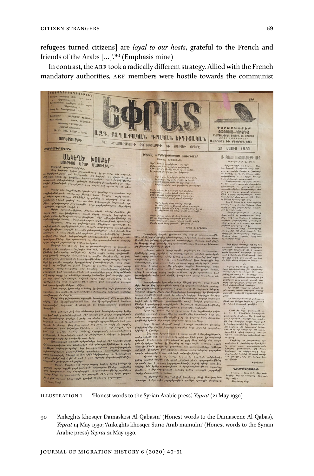refugees turned citizens] are *loyal to our hosts*, grateful to the French and friends of the Arabs […]'[.90](#page-19-0) (Emphasis mine)

In contrast, the ARF took a radically different strategy. Allied with the French mandatory authorities, ARF members were hostile towards the communist

<span id="page-19-0"></span>

<sup>90</sup> 'Ankeghts khosqer Damaskosi Al-Qabasin' (Honest words to the Damascene Al-Qabas), *Yeprat* 14 May 1930; 'Ankeghts khosqer Surio Arab mamulin' (Honest words to the Syrian Arabic press) *Yeprat* 21 May 1930.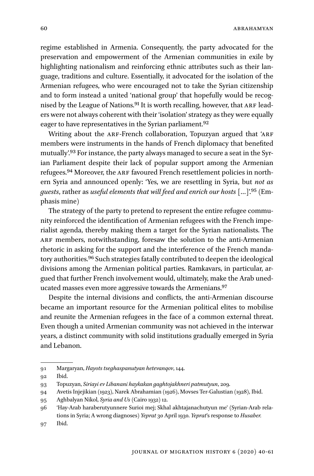regime established in Armenia. Consequently, the party advocated for the preservation and empowerment of the Armenian communities in exile by highlighting nationalism and reinforcing ethnic attributes such as their language, traditions and culture. Essentially, it advocated for the isolation of the Armenian refugees, who were encouraged not to take the Syrian citizenship and to form instead a united 'national group' that hopefully would be recognised by the League of Nations.<sup>91</sup> It is worth recalling, however, that  $ARF$  leaders were not always coherent with their 'isolation' strategy as they were equally eager to have representatives in the Syrian parliament[.92](#page-20-1)

Writing about the ARF-French collaboration, Topuzyan argued that 'ARF members were instruments in the hands of French diplomacy that benefited mutually'[.93](#page-20-2) For instance, the party always managed to secure a seat in the Syrian Parliament despite their lack of popular support among the Armenian refugees.<sup>94</sup> Moreover, the ARF favoured French resettlement policies in northern Syria and announced openly: 'Yes, we are resettling in Syria, but *not as guests*, rather as *useful elements that will feed and enrich our hosts* […]'.[95](#page-20-4) (Emphasis mine)

The strategy of the party to pretend to represent the entire refugee community reinforced the identification of Armenian refugees with the French imperialist agenda, thereby making them a target for the Syrian nationalists. The ARF members, notwithstanding, foresaw the solution to the anti-Armenian rhetoric in asking for the support and the interference of the French mandatory authorities[.96](#page-20-5) Such strategies fatally contributed to deepen the ideological divisions among the Armenian political parties. Ramkavars, in particular, argued that further French involvement would, ultimately, make the Arab uneducated masses even more aggressive towards the Armenians.[97](#page-20-6)

Despite the internal divisions and conflicts, the anti-Armenian discourse became an important resource for the Armenian political elites to mobilise and reunite the Armenian refugees in the face of a common external threat. Even though a united Armenian community was not achieved in the interwar years, a distinct community with solid institutions gradually emerged in Syria and Lebanon.

<span id="page-20-6"></span>97 Ibid.

<span id="page-20-0"></span><sup>91</sup> Margaryan, *Hayots tseghaspanutyan hetevanqov*, 144.

<span id="page-20-1"></span><sup>92</sup> Ibid.

<span id="page-20-2"></span><sup>93</sup> Topuzyan, *Siriayi ev Libanani haykakan gaghtojakhneri patmutyun*, 209.

<span id="page-20-3"></span><sup>94</sup> Avetis Injejikian (1923), Narek Abrahamian (1926), Movses Ter-Galustian (1928), Ibid.

<span id="page-20-4"></span><sup>95</sup> Aghbalyan Nikol, *Syria and Us* (Cairo 1932) 12.

<span id="page-20-5"></span><sup>96</sup> 'Hay-Arab haraberutyunnere Surioi mej; Skhal akhtajanachutyun me' (Syrian-Arab relations in Syria; A wrong diagnoses) *Yeprat* 30 April 1930. *Yeprat*'s response to *Husaber.*